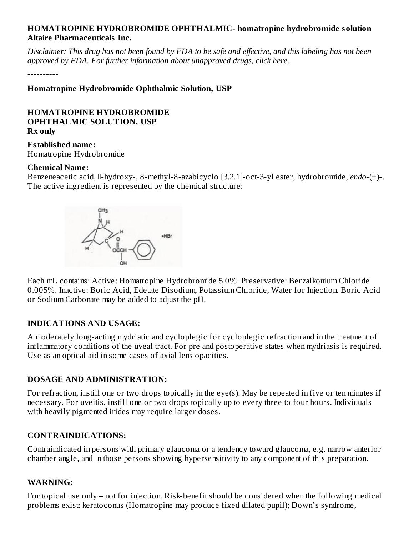### **HOMATROPINE HYDROBROMIDE OPHTHALMIC- homatropine hydrobromide solution Altaire Pharmaceuticals Inc.**

Disclaimer: This drug has not been found by FDA to be safe and effective, and this labeling has not been *approved by FDA. For further information about unapproved drugs, click here.*

----------

**Homatropine Hydrobromide Ophthalmic Solution, USP**

#### **HOMATROPINE HYDROBROMIDE OPHTHALMIC SOLUTION, USP Rx only**

**Established name:** Homatropine Hydrobromide

#### **Chemical Name:**

Benzeneacetic acid, <sup>[]</sup>-hydroxy-, 8-methyl-8-azabicyclo [3.2.1]-oct-3-yl ester, hydrobromide, *endo-*(±)-. The active ingredient is represented by the chemical structure:



Each mL contains: Active: Homatropine Hydrobromide 5.0%. Preservative: Benzalkonium Chloride 0.005%. Inactive: Boric Acid, Edetate Disodium, Potassium Chloride, Water for Injection. Boric Acid or Sodium Carbonate may be added to adjust the pH.

#### **INDICATIONS AND USAGE:**

A moderately long-acting mydriatic and cycloplegic for cycloplegic refraction and in the treatment of inflammatory conditions of the uveal tract. For pre and postoperative states when mydriasis is required. Use as an optical aid in some cases of axial lens opacities.

#### **DOSAGE AND ADMINISTRATION:**

For refraction, instill one or two drops topically in the eye(s). May be repeated in five or ten minutes if necessary. For uveitis, instill one or two drops topically up to every three to four hours. Individuals with heavily pigmented irides may require larger doses.

#### **CONTRAINDICATIONS:**

Contraindicated in persons with primary glaucoma or a tendency toward glaucoma, e.g. narrow anterior chamber angle, and in those persons showing hypersensitivity to any component of this preparation.

#### **WARNING:**

For topical use only – not for injection. Risk-benefit should be considered when the following medical problems exist: keratoconus (Homatropine may produce fixed dilated pupil); Down's syndrome,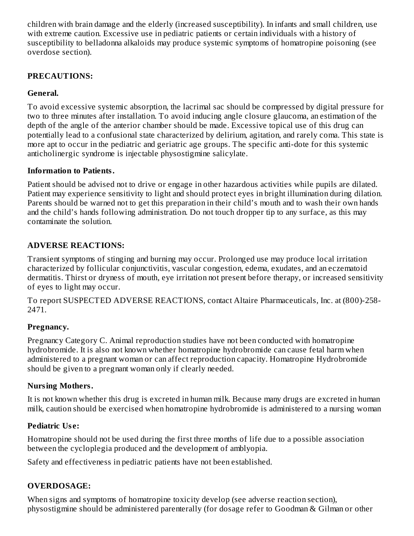children with brain damage and the elderly (increased susceptibility). In infants and small children, use with extreme caution. Excessive use in pediatric patients or certain individuals with a history of susceptibility to belladonna alkaloids may produce systemic symptoms of homatropine poisoning (see overdose section).

## **PRECAUTIONS:**

## **General.**

To avoid excessive systemic absorption, the lacrimal sac should be compressed by digital pressure for two to three minutes after installation. To avoid inducing angle closure glaucoma, an estimation of the depth of the angle of the anterior chamber should be made. Excessive topical use of this drug can potentially lead to a confusional state characterized by delirium, agitation, and rarely coma. This state is more apt to occur in the pediatric and geriatric age groups. The specific anti-dote for this systemic anticholinergic syndrome is injectable physostigmine salicylate.

### **Information to Patients.**

Patient should be advised not to drive or engage in other hazardous activities while pupils are dilated. Patient may experience sensitivity to light and should protect eyes in bright illumination during dilation. Parents should be warned not to get this preparation in their child's mouth and to wash their own hands and the child's hands following administration. Do not touch dropper tip to any surface, as this may contaminate the solution.

# **ADVERSE REACTIONS:**

Transient symptoms of stinging and burning may occur. Prolonged use may produce local irritation characterized by follicular conjunctivitis, vascular congestion, edema, exudates, and an eczematoid dermatitis. Thirst or dryness of mouth, eye irritation not present before therapy, or increased sensitivity of eyes to light may occur.

To report SUSPECTED ADVERSE REACTIONS, contact Altaire Pharmaceuticals, Inc. at (800)-258- 2471.

### **Pregnancy.**

Pregnancy Category C. Animal reproduction studies have not been conducted with homatropine hydrobromide. It is also not known whether homatropine hydrobromide can cause fetal harm when administered to a pregnant woman or can affect reproduction capacity. Homatropine Hydrobromide should be given to a pregnant woman only if clearly needed.

### **Nursing Mothers.**

It is not known whether this drug is excreted in human milk. Because many drugs are excreted in human milk, caution should be exercised when homatropine hydrobromide is administered to a nursing woman

# **Pediatric Us e:**

Homatropine should not be used during the first three months of life due to a possible association between the cycloplegia produced and the development of amblyopia.

Safety and effectiveness in pediatric patients have not been established.

# **OVERDOSAGE:**

When signs and symptoms of homatropine toxicity develop (see adverse reaction section), physostigmine should be administered parenterally (for dosage refer to Goodman & Gilman or other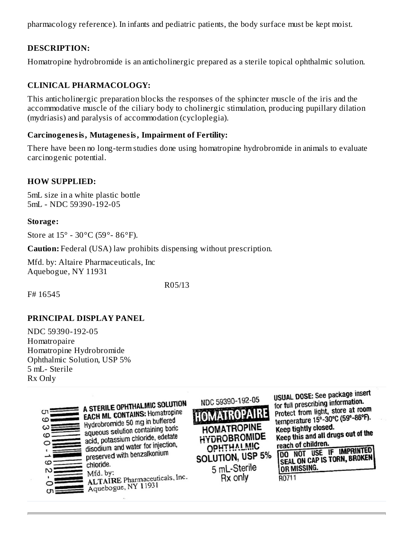pharmacology reference). In infants and pediatric patients, the body surface must be kept moist.

### **DESCRIPTION:**

Homatropine hydrobromide is an anticholinergic prepared as a sterile topical ophthalmic solution.

## **CLINICAL PHARMACOLOGY:**

This anticholinergic preparation blocks the responses of the sphincter muscle of the iris and the accommodative muscle of the ciliary body to cholinergic stimulation, producing pupillary dilation (mydriasis) and paralysis of accommodation (cycloplegia).

### **Carcinogenesis, Mutagenesis, Impairment of Fertility:**

There have been no long-term studies done using homatropine hydrobromide in animals to evaluate carcinogenic potential.

### **HOW SUPPLIED:**

5mL size in a white plastic bottle 5mL - NDC 59390-192-05

### **Storage:**

Store at 15° - 30°C (59°- 86°F).

**Caution:** Federal (USA) law prohibits dispensing without prescription.

Mfd. by: Altaire Pharmaceuticals, Inc Aquebogue, NY 11931

R05/13

F# 16545

### **PRINCIPAL DISPLAY PANEL**

NDC 59390-192-05 Homatropaire Homatropine Hydrobromide Ophthalmic Solution, USP 5% 5 mL- Sterile Rx Only



A STERILE OPHTHALMIC SOLUTION A STERILE UPTITALING SUPPORT Hydrobromide 50 mg in buffered aqueous solution containing boric aqueous solution containing disodium and water for injection, disodium and water for mychloride. Mfd. by: MIG. by:<br>ALTAIRE Pharmaceuticals, Inc. ALTAIRE Phannaceum

NDC 59390-192-05 **HOMATROPAL HOMATROPINE HYDROBROMIDE OPHTHALMIC** SOLUTION, USP 5% 5 mL-Sterile Rx only

USUAL DOSE: See package insert for full prescribing information. protect from light, store at room temperature 15°-30°C (59°-86°F). Keep tightly closed. Keep tightly closed.<br>Keep this and all drugs out of the reach of children. DO NOT USE IF IMPRINTED SEAL ON CAP IS TORN, BROKEN OR MISSING.

R0711